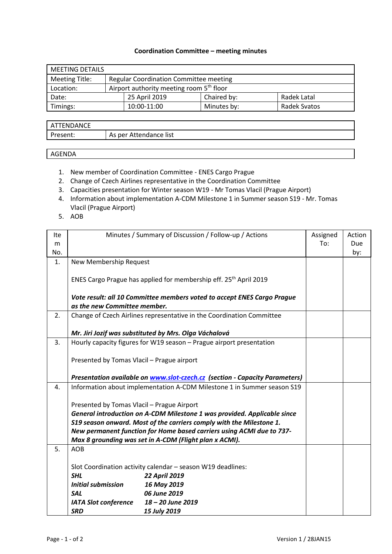## **Coordination Committee – meeting minutes**

| <b>MEETING DETAILS</b> |  |                                                      |             |              |  |  |
|------------------------|--|------------------------------------------------------|-------------|--------------|--|--|
| Meeting Title:         |  | <b>Regular Coordination Committee meeting</b>        |             |              |  |  |
| Location:              |  | Airport authority meeting room 5 <sup>th</sup> floor |             |              |  |  |
| Date:                  |  | 25 April 2019                                        | Chaired by: | Radek Latal  |  |  |
| Timings:               |  | 10:00-11:00                                          | Minutes by: | Radek Svatos |  |  |

| ANCE<br>FNI |                                                         |
|-------------|---------------------------------------------------------|
| -           | list<br>per<br>endance<br>Аς<br>$\mathbf{v}$<br>ιe<br>- |

## AGENDA

- 1. New member of Coordination Committee ENES Cargo Prague
- 2. Change of Czech Airlines representative in the Coordination Committee
- 3. Capacities presentation for Winter season W19 Mr Tomas Vlacil (Prague Airport)
- 4. Information about implementation A-CDM Milestone 1 in Summer season S19 Mr. Tomas Vlacil (Prague Airport)
- 5. AOB

| Ite |                                                                                                                                               | Minutes / Summary of Discussion / Follow-up / Actions                              | Assigned | Action |  |
|-----|-----------------------------------------------------------------------------------------------------------------------------------------------|------------------------------------------------------------------------------------|----------|--------|--|
| m   |                                                                                                                                               |                                                                                    |          | Due    |  |
| No. |                                                                                                                                               |                                                                                    |          | by:    |  |
| 1.  | New Membership Request                                                                                                                        |                                                                                    |          |        |  |
|     |                                                                                                                                               |                                                                                    |          |        |  |
|     |                                                                                                                                               | ENES Cargo Prague has applied for membership eff. 25 <sup>th</sup> April 2019      |          |        |  |
|     |                                                                                                                                               |                                                                                    |          |        |  |
|     | Vote result: all 10 Committee members voted to accept ENES Cargo Prague<br>as the new Committee member.                                       |                                                                                    |          |        |  |
|     |                                                                                                                                               |                                                                                    |          |        |  |
| 2.  |                                                                                                                                               | Change of Czech Airlines representative in the Coordination Committee              |          |        |  |
|     |                                                                                                                                               |                                                                                    |          |        |  |
|     |                                                                                                                                               | Mr. Jiri Jozif was substituted by Mrs. Olga Váchalová                              |          |        |  |
| 3.  |                                                                                                                                               | Hourly capacity figures for W19 season - Prague airport presentation               |          |        |  |
|     |                                                                                                                                               |                                                                                    |          |        |  |
|     | Presented by Tomas Vlacil - Prague airport                                                                                                    |                                                                                    |          |        |  |
|     |                                                                                                                                               |                                                                                    |          |        |  |
|     |                                                                                                                                               | Presentation available on <b>www.slot-czech.cz</b> (section - Capacity Parameters) |          |        |  |
| 4.  |                                                                                                                                               | Information about implementation A-CDM Milestone 1 in Summer season S19            |          |        |  |
|     |                                                                                                                                               |                                                                                    |          |        |  |
|     | Presented by Tomas Vlacil - Prague Airport                                                                                                    |                                                                                    |          |        |  |
|     | General introduction on A-CDM Milestone 1 was provided. Applicable since                                                                      |                                                                                    |          |        |  |
|     | S19 season onward. Most of the carriers comply with the Milestone 1.<br>New permanent function for Home based carriers using ACMI due to 737- |                                                                                    |          |        |  |
|     |                                                                                                                                               |                                                                                    |          |        |  |
|     |                                                                                                                                               | Max 8 grounding was set in A-CDM (Flight plan x ACMI).                             |          |        |  |
| 5.  | <b>AOB</b>                                                                                                                                    |                                                                                    |          |        |  |
|     |                                                                                                                                               |                                                                                    |          |        |  |
|     | Slot Coordination activity calendar - season W19 deadlines:                                                                                   |                                                                                    |          |        |  |
|     | <b>SHL</b><br><b>Initial submission</b>                                                                                                       | 22 April 2019<br>16 May 2019                                                       |          |        |  |
|     | <b>SAL</b>                                                                                                                                    | 06 June 2019                                                                       |          |        |  |
|     |                                                                                                                                               | 18 - 20 June 2019                                                                  |          |        |  |
|     | <b>IATA Slot conference</b>                                                                                                                   |                                                                                    |          |        |  |
|     | <b>SRD</b>                                                                                                                                    | 15 July 2019                                                                       |          |        |  |